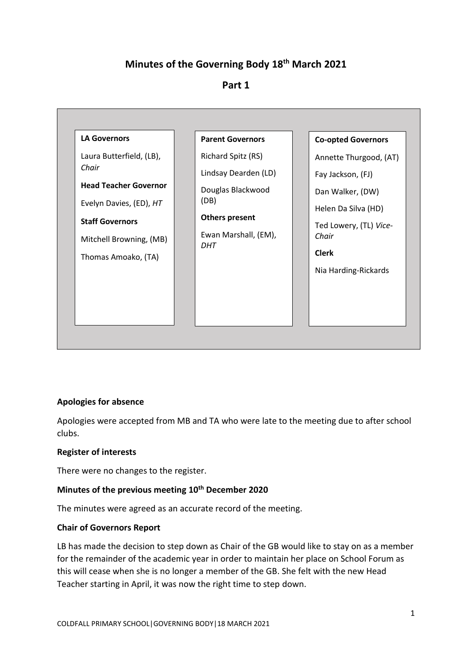# **Minutes of the Governing Body 18 th March 2021**

# **Part 1**



# **Apologies for absence**

Apologies were accepted from MB and TA who were late to the meeting due to after school clubs.

### **Register of interests**

There were no changes to the register.

# **Minutes of the previous meeting 10th December 2020**

The minutes were agreed as an accurate record of the meeting.

### **Chair of Governors Report**

LB has made the decision to step down as Chair of the GB would like to stay on as a member for the remainder of the academic year in order to maintain her place on School Forum as this will cease when she is no longer a member of the GB. She felt with the new Head Teacher starting in April, it was now the right time to step down.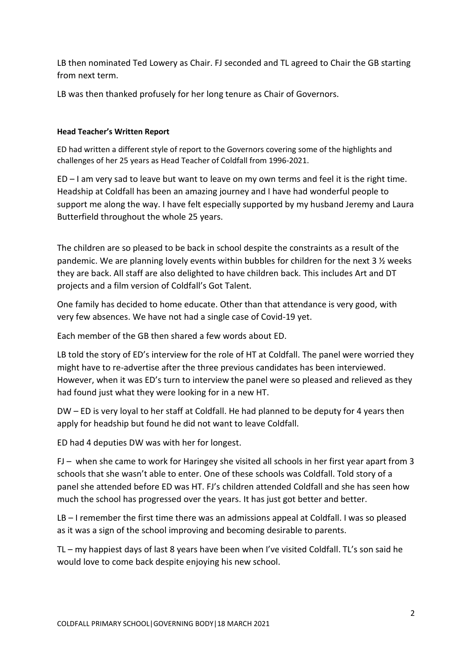LB then nominated Ted Lowery as Chair. FJ seconded and TL agreed to Chair the GB starting from next term.

LB was then thanked profusely for her long tenure as Chair of Governors.

### **Head Teacher's Written Report**

ED had written a different style of report to the Governors covering some of the highlights and challenges of her 25 years as Head Teacher of Coldfall from 1996-2021.

ED – I am very sad to leave but want to leave on my own terms and feel it is the right time. Headship at Coldfall has been an amazing journey and I have had wonderful people to support me along the way. I have felt especially supported by my husband Jeremy and Laura Butterfield throughout the whole 25 years.

The children are so pleased to be back in school despite the constraints as a result of the pandemic. We are planning lovely events within bubbles for children for the next 3 ½ weeks they are back. All staff are also delighted to have children back. This includes Art and DT projects and a film version of Coldfall's Got Talent.

One family has decided to home educate. Other than that attendance is very good, with very few absences. We have not had a single case of Covid-19 yet.

Each member of the GB then shared a few words about ED.

LB told the story of ED's interview for the role of HT at Coldfall. The panel were worried they might have to re-advertise after the three previous candidates has been interviewed. However, when it was ED's turn to interview the panel were so pleased and relieved as they had found just what they were looking for in a new HT.

DW – ED is very loyal to her staff at Coldfall. He had planned to be deputy for 4 years then apply for headship but found he did not want to leave Coldfall.

ED had 4 deputies DW was with her for longest.

FJ – when she came to work for Haringey she visited all schools in her first year apart from 3 schools that she wasn't able to enter. One of these schools was Coldfall. Told story of a panel she attended before ED was HT. FJ's children attended Coldfall and she has seen how much the school has progressed over the years. It has just got better and better.

LB – I remember the first time there was an admissions appeal at Coldfall. I was so pleased as it was a sign of the school improving and becoming desirable to parents.

TL – my happiest days of last 8 years have been when I've visited Coldfall. TL's son said he would love to come back despite enjoying his new school.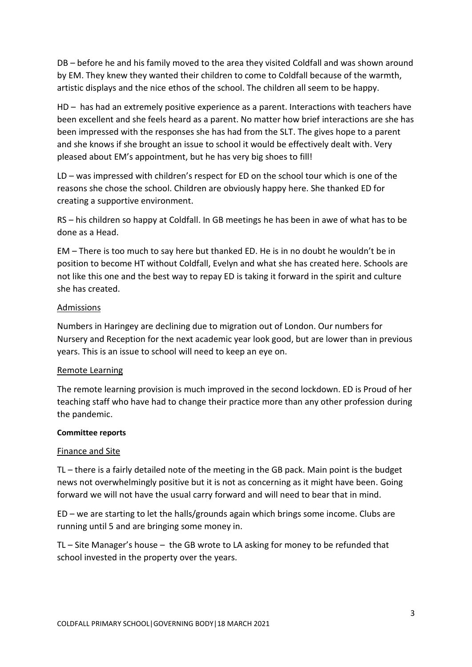DB – before he and his family moved to the area they visited Coldfall and was shown around by EM. They knew they wanted their children to come to Coldfall because of the warmth, artistic displays and the nice ethos of the school. The children all seem to be happy.

HD – has had an extremely positive experience as a parent. Interactions with teachers have been excellent and she feels heard as a parent. No matter how brief interactions are she has been impressed with the responses she has had from the SLT. The gives hope to a parent and she knows if she brought an issue to school it would be effectively dealt with. Very pleased about EM's appointment, but he has very big shoes to fill!

LD – was impressed with children's respect for ED on the school tour which is one of the reasons she chose the school. Children are obviously happy here. She thanked ED for creating a supportive environment.

RS – his children so happy at Coldfall. In GB meetings he has been in awe of what has to be done as a Head.

EM – There is too much to say here but thanked ED. He is in no doubt he wouldn't be in position to become HT without Coldfall, Evelyn and what she has created here. Schools are not like this one and the best way to repay ED is taking it forward in the spirit and culture she has created.

### Admissions

Numbers in Haringey are declining due to migration out of London. Our numbers for Nursery and Reception for the next academic year look good, but are lower than in previous years. This is an issue to school will need to keep an eye on.

# Remote Learning

The remote learning provision is much improved in the second lockdown. ED is Proud of her teaching staff who have had to change their practice more than any other profession during the pandemic.

### **Committee reports**

# Finance and Site

TL – there is a fairly detailed note of the meeting in the GB pack. Main point is the budget news not overwhelmingly positive but it is not as concerning as it might have been. Going forward we will not have the usual carry forward and will need to bear that in mind.

ED – we are starting to let the halls/grounds again which brings some income. Clubs are running until 5 and are bringing some money in.

TL – Site Manager's house – the GB wrote to LA asking for money to be refunded that school invested in the property over the years.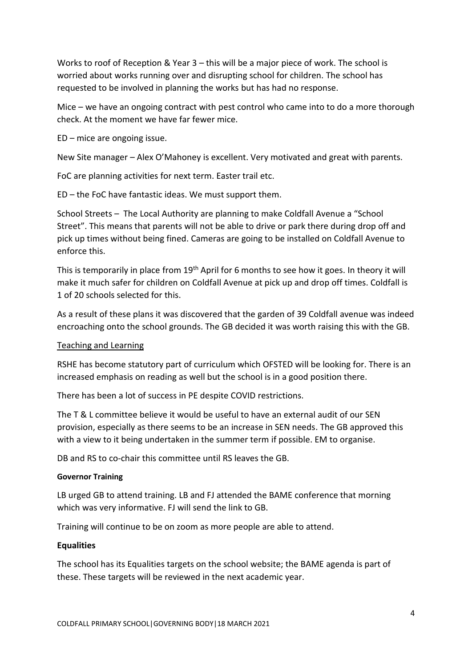Works to roof of Reception & Year 3 – this will be a major piece of work. The school is worried about works running over and disrupting school for children. The school has requested to be involved in planning the works but has had no response.

Mice – we have an ongoing contract with pest control who came into to do a more thorough check. At the moment we have far fewer mice.

ED – mice are ongoing issue.

New Site manager – Alex O'Mahoney is excellent. Very motivated and great with parents.

FoC are planning activities for next term. Easter trail etc.

ED – the FoC have fantastic ideas. We must support them.

School Streets – The Local Authority are planning to make Coldfall Avenue a "School Street". This means that parents will not be able to drive or park there during drop off and pick up times without being fined. Cameras are going to be installed on Coldfall Avenue to enforce this.

This is temporarily in place from 19<sup>th</sup> April for 6 months to see how it goes. In theory it will make it much safer for children on Coldfall Avenue at pick up and drop off times. Coldfall is 1 of 20 schools selected for this.

As a result of these plans it was discovered that the garden of 39 Coldfall avenue was indeed encroaching onto the school grounds. The GB decided it was worth raising this with the GB.

#### Teaching and Learning

RSHE has become statutory part of curriculum which OFSTED will be looking for. There is an increased emphasis on reading as well but the school is in a good position there.

There has been a lot of success in PE despite COVID restrictions.

The T & L committee believe it would be useful to have an external audit of our SEN provision, especially as there seems to be an increase in SEN needs. The GB approved this with a view to it being undertaken in the summer term if possible. EM to organise.

DB and RS to co-chair this committee until RS leaves the GB.

#### **Governor Training**

LB urged GB to attend training. LB and FJ attended the BAME conference that morning which was very informative. FJ will send the link to GB.

Training will continue to be on zoom as more people are able to attend.

#### **Equalities**

The school has its Equalities targets on the school website; the BAME agenda is part of these. These targets will be reviewed in the next academic year.